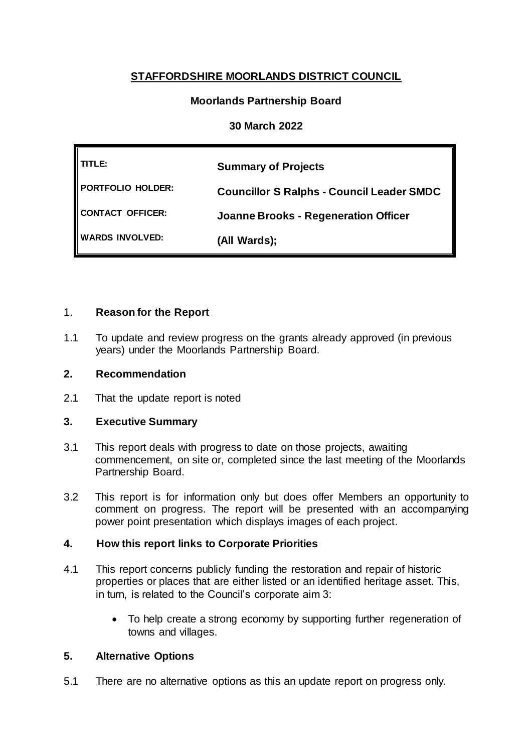# **STAFFORDSHIRE MOORLANDS DISTRICT COUNCIL**

## **Moorlands Partnership Board**

## **30 March 2022**

| TITLE:                 | <b>Summary of Projects</b>                       |  |
|------------------------|--------------------------------------------------|--|
| PORTFOLIO HOLDER:      | <b>Councillor S Ralphs - Council Leader SMDC</b> |  |
| CONTACT OFFICER:       | <b>Joanne Brooks - Regeneration Officer</b>      |  |
| <b>WARDS INVOLVED:</b> | (All Wards);                                     |  |

### 1. **Reason for the Report**

1.1 To update and review progress on the grants already approved (in previous years) under the Moorlands Partnership Board.

## **2. Recommendation**

2.1 That the update report is noted

### **3. Executive Summary**

- 3.1 This report deals with progress to date on those projects, awaiting commencement, on site or, completed since the last meeting of the Moorlands Partnership Board.
- 3.2 This report is for information only but does offer Members an opportunity to comment on progress. The report will be presented with an accompanying power point presentation which displays images of each project.

## **4. How this report links to Corporate Priorities**

- 4.1 This report concerns publicly funding the restoration and repair of historic properties or places that are either listed or an identified heritage asset. This, in turn, is related to the Council's corporate aim 3:
	- To help create a strong economy by supporting further regeneration of towns and villages.

### **5. Alternative Options**

5.1 There are no alternative options as this an update report on progress only.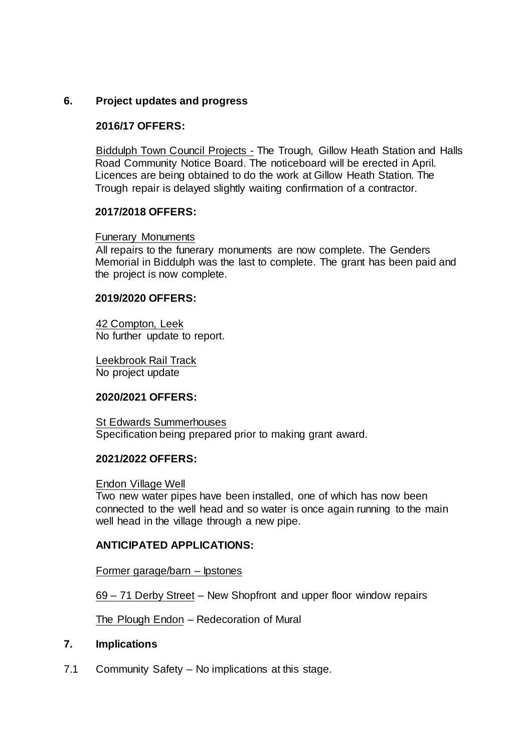## **6. Project updates and progress**

### **2016/17 OFFERS:**

**Biddulph Town Council Projects - The Trough, Gillow Heath Station and Halls** Road Community Notice Board. The noticeboard will be erected in April. Licences are being obtained to do the work at Gillow Heath Station. The Trough repair is delayed slightly waiting confirmation of a contractor.

#### **2017/2018 OFFERS:**

#### Funerary Monuments

All repairs to the funerary monuments are now complete. The Genders Memorial in Biddulph was the last to complete. The grant has been paid and the project is now complete.

#### **2019/2020 OFFERS:**

42 Compton, Leek No further update to report.

Leekbrook Rail Track No project update

### **2020/2021 OFFERS:**

St Edwards Summerhouses Specification being prepared prior to making grant award.

#### **2021/2022 OFFERS:**

#### Endon Village Well

Two new water pipes have been installed, one of which has now been connected to the well head and so water is once again running to the main well head in the village through a new pipe.

#### **ANTICIPATED APPLICATIONS:**

#### Former garage/barn – Ipstones

69 – 71 Derby Street – New Shopfront and upper floor window repairs

The Plough Endon – Redecoration of Mural

#### **7. Implications**

7.1 Community Safety – No implications at this stage.